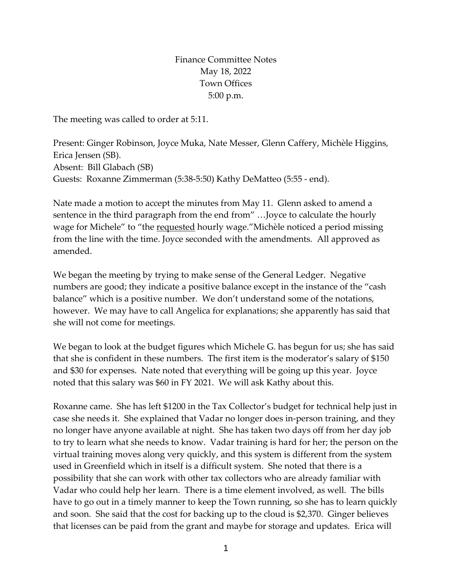Finance Committee Notes May 18, 2022 Town Offices 5:00 p.m.

The meeting was called to order at 5:11.

Present: Ginger Robinson, Joyce Muka, Nate Messer, Glenn Caffery, Michèle Higgins, Erica Jensen (SB). Absent: Bill Glabach (SB) Guests: Roxanne Zimmerman (5:38-5:50) Kathy DeMatteo (5:55 - end).

Nate made a motion to accept the minutes from May 11. Glenn asked to amend a sentence in the third paragraph from the end from" …Joyce to calculate the hourly wage for Michele" to "the requested hourly wage." Michèle noticed a period missing from the line with the time. Joyce seconded with the amendments. All approved as amended.

We began the meeting by trying to make sense of the General Ledger. Negative numbers are good; they indicate a positive balance except in the instance of the "cash balance" which is a positive number. We don't understand some of the notations, however. We may have to call Angelica for explanations; she apparently has said that she will not come for meetings.

We began to look at the budget figures which Michele G. has begun for us; she has said that she is confident in these numbers. The first item is the moderator's salary of \$150 and \$30 for expenses. Nate noted that everything will be going up this year. Joyce noted that this salary was \$60 in FY 2021. We will ask Kathy about this.

Roxanne came. She has left \$1200 in the Tax Collector's budget for technical help just in case she needs it. She explained that Vadar no longer does in-person training, and they no longer have anyone available at night. She has taken two days off from her day job to try to learn what she needs to know. Vadar training is hard for her; the person on the virtual training moves along very quickly, and this system is different from the system used in Greenfield which in itself is a difficult system. She noted that there is a possibility that she can work with other tax collectors who are already familiar with Vadar who could help her learn. There is a time element involved, as well. The bills have to go out in a timely manner to keep the Town running, so she has to learn quickly and soon. She said that the cost for backing up to the cloud is \$2,370. Ginger believes that licenses can be paid from the grant and maybe for storage and updates. Erica will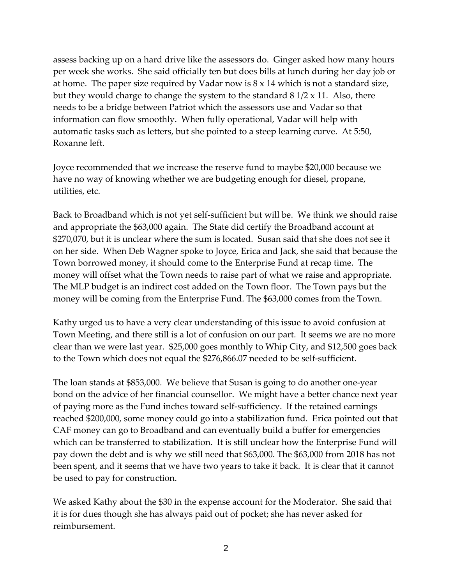assess backing up on a hard drive like the assessors do. Ginger asked how many hours per week she works. She said officially ten but does bills at lunch during her day job or at home. The paper size required by Vadar now is  $8 \times 14$  which is not a standard size, but they would charge to change the system to the standard  $8\frac{1}{2} \times 11$ . Also, there needs to be a bridge between Patriot which the assessors use and Vadar so that information can flow smoothly. When fully operational, Vadar will help with automatic tasks such as letters, but she pointed to a steep learning curve. At 5:50, Roxanne left.

Joyce recommended that we increase the reserve fund to maybe \$20,000 because we have no way of knowing whether we are budgeting enough for diesel, propane, utilities, etc.

Back to Broadband which is not yet self-sufficient but will be. We think we should raise and appropriate the \$63,000 again. The State did certify the Broadband account at \$270,070, but it is unclear where the sum is located. Susan said that she does not see it on her side. When Deb Wagner spoke to Joyce, Erica and Jack, she said that because the Town borrowed money, it should come to the Enterprise Fund at recap time. The money will offset what the Town needs to raise part of what we raise and appropriate. The MLP budget is an indirect cost added on the Town floor. The Town pays but the money will be coming from the Enterprise Fund. The \$63,000 comes from the Town.

Kathy urged us to have a very clear understanding of this issue to avoid confusion at Town Meeting, and there still is a lot of confusion on our part. It seems we are no more clear than we were last year. \$25,000 goes monthly to Whip City, and \$12,500 goes back to the Town which does not equal the \$276,866.07 needed to be self-sufficient.

The loan stands at \$853,000. We believe that Susan is going to do another one-year bond on the advice of her financial counsellor. We might have a better chance next year of paying more as the Fund inches toward self-sufficiency. If the retained earnings reached \$200,000, some money could go into a stabilization fund. Erica pointed out that CAF money can go to Broadband and can eventually build a buffer for emergencies which can be transferred to stabilization. It is still unclear how the Enterprise Fund will pay down the debt and is why we still need that \$63,000. The \$63,000 from 2018 has not been spent, and it seems that we have two years to take it back. It is clear that it cannot be used to pay for construction.

We asked Kathy about the \$30 in the expense account for the Moderator. She said that it is for dues though she has always paid out of pocket; she has never asked for reimbursement.